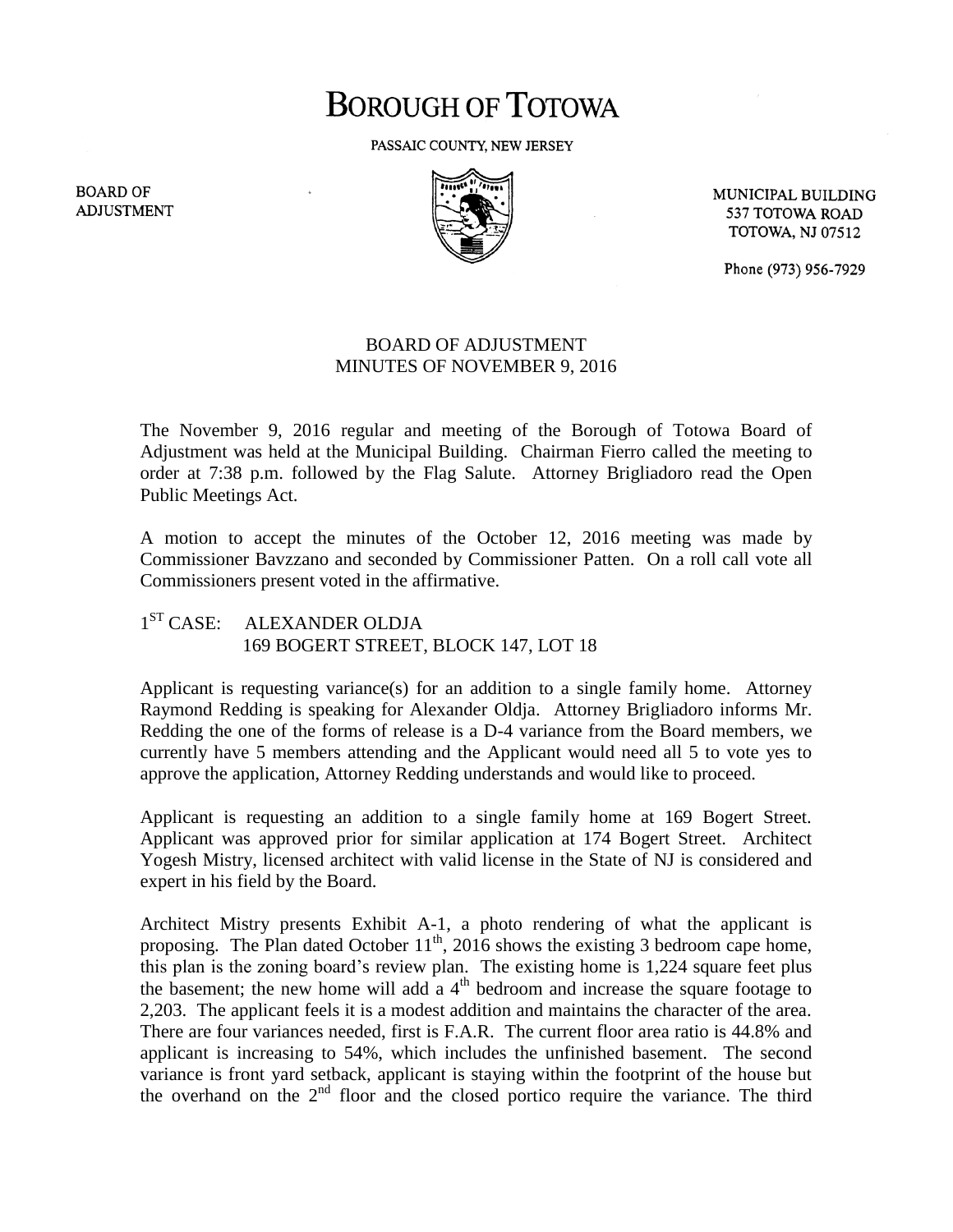## **BOROUGH OF TOTOWA**

PASSAIC COUNTY, NEW JERSEY



MUNICIPAL BUILDING 537 TOTOWA ROAD **TOTOWA, NJ 07512** 

Phone (973) 956-7929

## BOARD OF ADJUSTMENT MINUTES OF NOVEMBER 9, 2016

The November 9, 2016 regular and meeting of the Borough of Totowa Board of Adjustment was held at the Municipal Building. Chairman Fierro called the meeting to order at 7:38 p.m. followed by the Flag Salute. Attorney Brigliadoro read the Open Public Meetings Act.

A motion to accept the minutes of the October 12, 2016 meeting was made by Commissioner Bavzzano and seconded by Commissioner Patten. On a roll call vote all Commissioners present voted in the affirmative.

## $1^{ST}$  CASE: ALEXANDER OLDJA 169 BOGERT STREET, BLOCK 147, LOT 18

Applicant is requesting variance(s) for an addition to a single family home. Attorney Raymond Redding is speaking for Alexander Oldja. Attorney Brigliadoro informs Mr. Redding the one of the forms of release is a D-4 variance from the Board members, we currently have 5 members attending and the Applicant would need all 5 to vote yes to approve the application, Attorney Redding understands and would like to proceed.

Applicant is requesting an addition to a single family home at 169 Bogert Street. Applicant was approved prior for similar application at 174 Bogert Street. Architect Yogesh Mistry, licensed architect with valid license in the State of NJ is considered and expert in his field by the Board.

Architect Mistry presents Exhibit A-1, a photo rendering of what the applicant is proposing. The Plan dated October  $11^{th}$ , 2016 shows the existing 3 bedroom cape home, this plan is the zoning board's review plan. The existing home is 1,224 square feet plus the basement; the new home will add a  $4<sup>th</sup>$  bedroom and increase the square footage to 2,203. The applicant feels it is a modest addition and maintains the character of the area. There are four variances needed, first is F.A.R. The current floor area ratio is 44.8% and applicant is increasing to 54%, which includes the unfinished basement. The second variance is front yard setback, applicant is staying within the footprint of the house but the overhand on the 2nd floor and the closed portico require the variance. The third

**BOARD OF ADJUSTMENT**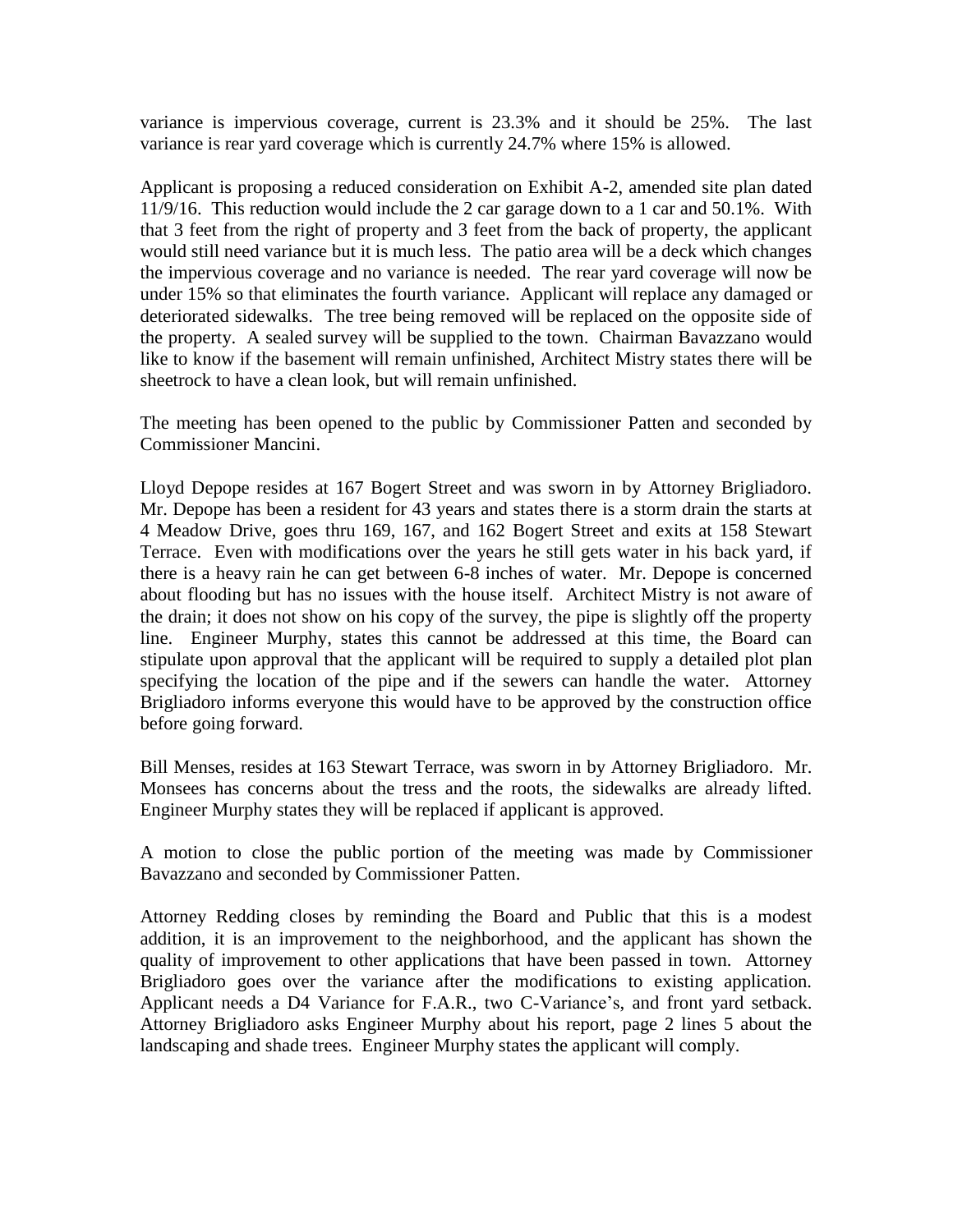variance is impervious coverage, current is 23.3% and it should be 25%. The last variance is rear yard coverage which is currently 24.7% where 15% is allowed.

Applicant is proposing a reduced consideration on Exhibit A-2, amended site plan dated 11/9/16. This reduction would include the 2 car garage down to a 1 car and 50.1%. With that 3 feet from the right of property and 3 feet from the back of property, the applicant would still need variance but it is much less. The patio area will be a deck which changes the impervious coverage and no variance is needed. The rear yard coverage will now be under 15% so that eliminates the fourth variance. Applicant will replace any damaged or deteriorated sidewalks. The tree being removed will be replaced on the opposite side of the property. A sealed survey will be supplied to the town. Chairman Bavazzano would like to know if the basement will remain unfinished, Architect Mistry states there will be sheetrock to have a clean look, but will remain unfinished.

The meeting has been opened to the public by Commissioner Patten and seconded by Commissioner Mancini.

Lloyd Depope resides at 167 Bogert Street and was sworn in by Attorney Brigliadoro. Mr. Depope has been a resident for 43 years and states there is a storm drain the starts at 4 Meadow Drive, goes thru 169, 167, and 162 Bogert Street and exits at 158 Stewart Terrace. Even with modifications over the years he still gets water in his back yard, if there is a heavy rain he can get between 6-8 inches of water. Mr. Depope is concerned about flooding but has no issues with the house itself. Architect Mistry is not aware of the drain; it does not show on his copy of the survey, the pipe is slightly off the property line. Engineer Murphy, states this cannot be addressed at this time, the Board can stipulate upon approval that the applicant will be required to supply a detailed plot plan specifying the location of the pipe and if the sewers can handle the water. Attorney Brigliadoro informs everyone this would have to be approved by the construction office before going forward.

Bill Menses, resides at 163 Stewart Terrace, was sworn in by Attorney Brigliadoro. Mr. Monsees has concerns about the tress and the roots, the sidewalks are already lifted. Engineer Murphy states they will be replaced if applicant is approved.

A motion to close the public portion of the meeting was made by Commissioner Bavazzano and seconded by Commissioner Patten.

Attorney Redding closes by reminding the Board and Public that this is a modest addition, it is an improvement to the neighborhood, and the applicant has shown the quality of improvement to other applications that have been passed in town. Attorney Brigliadoro goes over the variance after the modifications to existing application. Applicant needs a D4 Variance for F.A.R., two C-Variance's, and front yard setback. Attorney Brigliadoro asks Engineer Murphy about his report, page 2 lines 5 about the landscaping and shade trees. Engineer Murphy states the applicant will comply.